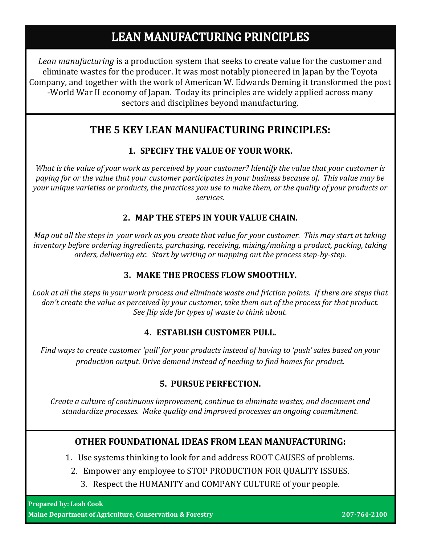# **LEAN MANUFACTURING PRINCIPLES**

*Lean manufacturing* is a production system that seeks to create value for the customer and eliminate wastes for the producer. It was most notably pioneered in Japan by the Toyota Company, and together with the work of American W. Edwards Deming it transformed the post -World War II economy of Japan. Today its principles are widely applied across many sectors and disciplines beyond manufacturing.

## **THE 5 KEY LEAN MANUFACTURING PRINCIPLES:**

### **1. SPECIFY THE VALUE OF YOUR WORK.**

*What is the value of your work as perceived by your customer? Identify the value that your customer is paying for or the value that your customer participates in your business because of. This value may be your unique varieties or products, the practices you use to make them, or the quality of your products or services.*

### **2. MAP THE STEPS IN YOUR VALUE CHAIN.**

*Map out all the steps in your work as you create that value for your customer. This may start at taking inventory before ordering ingredients, purchasing, receiving, mixing/making a product, packing, taking orders, delivering etc. Start by writing or mapping out the process step-by-step.*

### **3. MAKE THE PROCESS FLOW SMOOTHLY.**

*Look at all the steps in your work process and eliminate waste and friction points. If there are steps that don't create the value as perceived by your customer, take them out of the process for that product. See flip side for types of waste to think about.* 

### **4. ESTABLISH CUSTOMER PULL.**

*Find ways to create customer 'pull' for your products instead of having to 'push' sales based on your production output. Drive demand instead of needing to find homes for product.*

### **5. PURSUE PERFECTION.**

*Create a culture of continuous improvement, continue to eliminate wastes, and document and standardize processes. Make quality and improved processes an ongoing commitment.*

### **OTHER FOUNDATIONAL IDEAS FROM LEAN MANUFACTURING:**

1. Use systems thinking to look for and address ROOT CAUSES of problems.

- 2. Empower any employee to STOP PRODUCTION FOR QUALITY ISSUES.
	- 3. Respect the HUMANITY and COMPANY CULTURE of your people.

**Prepared by: Leah Cook Maine Department of Agriculture, Conservation & Forestry 207-764-2100**